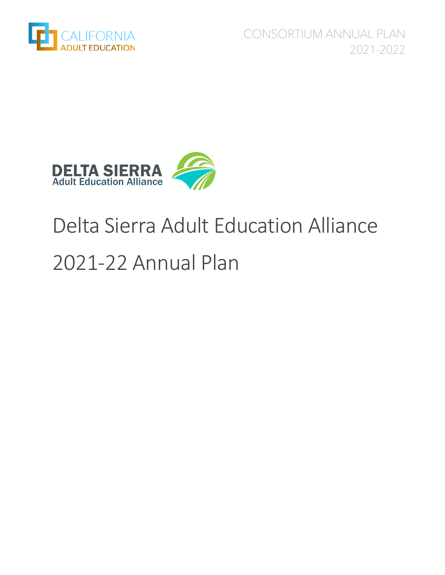

CONSORTIUM ANNUAL PLAN 2021-2022



# Delta Sierra Adult Education Alliance 2021-22 Annual Plan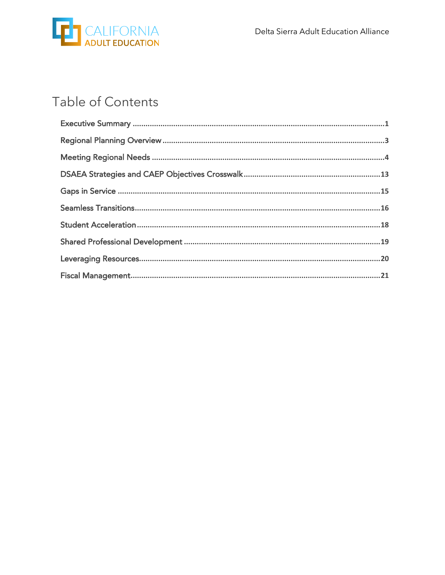

# Table of Contents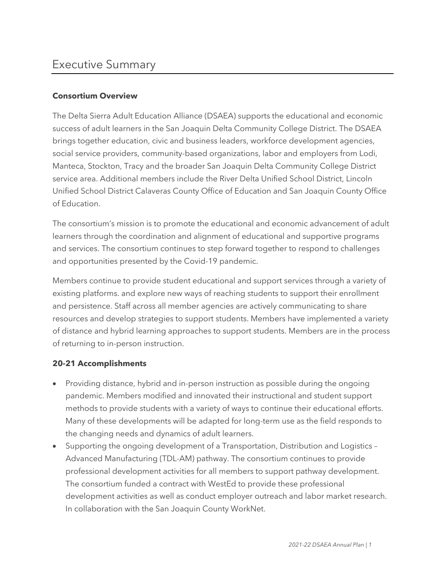### Executive Summary

### **Consortium Overview**

The Delta Sierra Adult Education Alliance (DSAEA) supports the educational and economic success of adult learners in the San Joaquin Delta Community College District. The DSAEA brings together education, civic and business leaders, workforce development agencies, social service providers, community-based organizations, labor and employers from Lodi, Manteca, Stockton, Tracy and the broader San Joaquin Delta Community College District service area. Additional members include the River Delta Unified School District, Lincoln Unified School District Calaveras County Office of Education and San Joaquin County Office of Education.

The consortium's mission is to promote the educational and economic advancement of adult learners through the coordination and alignment of educational and supportive programs and services. The consortium continues to step forward together to respond to challenges and opportunities presented by the Covid-19 pandemic.

Members continue to provide student educational and support services through a variety of existing platforms. and explore new ways of reaching students to support their enrollment and persistence. Staff across all member agencies are actively communicating to share resources and develop strategies to support students. Members have implemented a variety of distance and hybrid learning approaches to support students. Members are in the process of returning to in-person instruction.

### **20-21 Accomplishments**

- Providing distance, hybrid and in-person instruction as possible during the ongoing pandemic. Members modified and innovated their instructional and student support methods to provide students with a variety of ways to continue their educational efforts. Many of these developments will be adapted for long-term use as the field responds to the changing needs and dynamics of adult learners.
- Supporting the ongoing development of a Transportation, Distribution and Logistics Advanced Manufacturing (TDL-AM) pathway. The consortium continues to provide professional development activities for all members to support pathway development. The consortium funded a contract with WestEd to provide these professional development activities as well as conduct employer outreach and labor market research. In collaboration with the San Joaquin County WorkNet.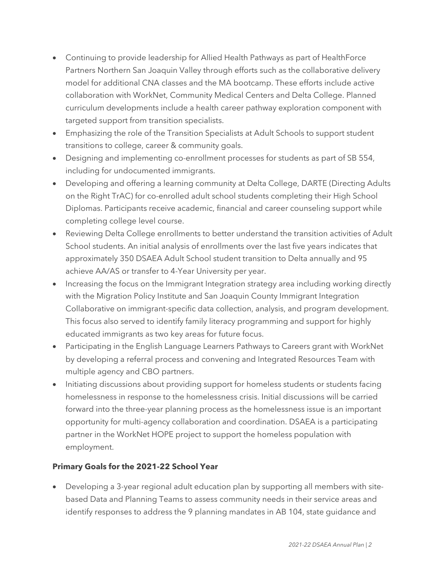- Continuing to provide leadership for Allied Health Pathways as part of HealthForce Partners Northern San Joaquin Valley through efforts such as the collaborative delivery model for additional CNA classes and the MA bootcamp. These efforts include active collaboration with WorkNet, Community Medical Centers and Delta College. Planned curriculum developments include a health career pathway exploration component with targeted support from transition specialists.
- Emphasizing the role of the Transition Specialists at Adult Schools to support student transitions to college, career & community goals.
- Designing and implementing co-enrollment processes for students as part of SB 554, including for undocumented immigrants.
- Developing and offering a learning community at Delta College, DARTE (Directing Adults on the Right TrAC) for co-enrolled adult school students completing their High School Diplomas. Participants receive academic, financial and career counseling support while completing college level course.
- Reviewing Delta College enrollments to better understand the transition activities of Adult School students. An initial analysis of enrollments over the last five years indicates that approximately 350 DSAEA Adult School student transition to Delta annually and 95 achieve AA/AS or transfer to 4-Year University per year.
- Increasing the focus on the Immigrant Integration strategy area including working directly with the Migration Policy Institute and San Joaquin County Immigrant Integration Collaborative on immigrant-specific data collection, analysis, and program development. This focus also served to identify family literacy programming and support for highly educated immigrants as two key areas for future focus.
- Participating in the English Language Learners Pathways to Careers grant with WorkNet by developing a referral process and convening and Integrated Resources Team with multiple agency and CBO partners.
- Initiating discussions about providing support for homeless students or students facing homelessness in response to the homelessness crisis. Initial discussions will be carried forward into the three-year planning process as the homelessness issue is an important opportunity for multi-agency collaboration and coordination. DSAEA is a participating partner in the WorkNet HOPE project to support the homeless population with employment.

### **Primary Goals for the 2021-22 School Year**

• Developing a 3-year regional adult education plan by supporting all members with sitebased Data and Planning Teams to assess community needs in their service areas and identify responses to address the 9 planning mandates in AB 104, state guidance and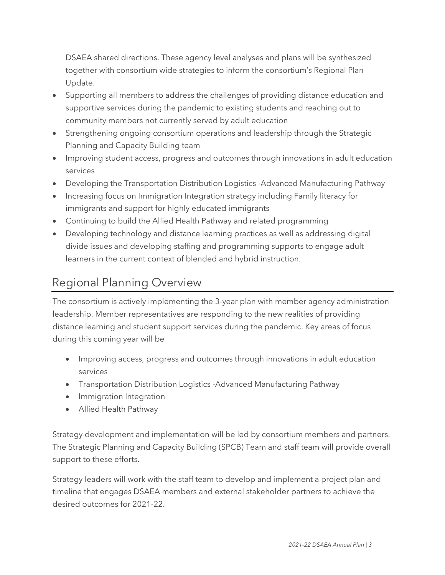DSAEA shared directions. These agency level analyses and plans will be synthesized together with consortium wide strategies to inform the consortium's Regional Plan Update.

- Supporting all members to address the challenges of providing distance education and supportive services during the pandemic to existing students and reaching out to community members not currently served by adult education
- Strengthening ongoing consortium operations and leadership through the Strategic Planning and Capacity Building team
- Improving student access, progress and outcomes through innovations in adult education services
- Developing the Transportation Distribution Logistics -Advanced Manufacturing Pathway
- Increasing focus on Immigration Integration strategy including Family literacy for immigrants and support for highly educated immigrants
- Continuing to build the Allied Health Pathway and related programming
- Developing technology and distance learning practices as well as addressing digital divide issues and developing staffing and programming supports to engage adult learners in the current context of blended and hybrid instruction.

# Regional Planning Overview

The consortium is actively implementing the 3-year plan with member agency administration leadership. Member representatives are responding to the new realities of providing distance learning and student support services during the pandemic. Key areas of focus during this coming year will be

- Improving access, progress and outcomes through innovations in adult education services
- Transportation Distribution Logistics -Advanced Manufacturing Pathway
- Immigration Integration
- Allied Health Pathway

Strategy development and implementation will be led by consortium members and partners. The Strategic Planning and Capacity Building (SPCB) Team and staff team will provide overall support to these efforts.

Strategy leaders will work with the staff team to develop and implement a project plan and timeline that engages DSAEA members and external stakeholder partners to achieve the desired outcomes for 2021-22.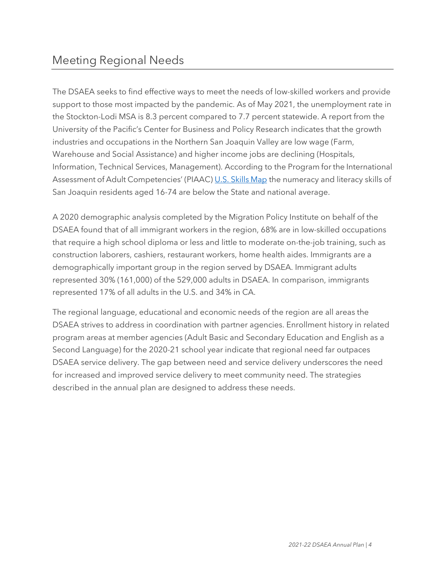The DSAEA seeks to find effective ways to meet the needs of low-skilled workers and provide support to those most impacted by the pandemic. As of May 2021, the unemployment rate in the Stockton-Lodi MSA is 8.3 percent compared to 7.7 percent statewide. A report from the University of the Pacific's Center for Business and Policy Research indicates that the growth industries and occupations in the Northern San Joaquin Valley are low wage (Farm, Warehouse and Social Assistance) and higher income jobs are declining (Hospitals, Information, Technical Services, Management). According to the Program for the International Assessment of Adult Competencies' (PIAAC) U.S. Skills Map the numeracy and literacy skills of San Joaquin residents aged 16-74 are below the State and national average.

A 2020 demographic analysis completed by the Migration Policy Institute on behalf of the DSAEA found that of all immigrant workers in the region, 68% are in low-skilled occupations that require a high school diploma or less and little to moderate on-the-job training, such as construction laborers, cashiers, restaurant workers, home health aides. Immigrants are a demographically important group in the region served by DSAEA. Immigrant adults represented 30% (161,000) of the 529,000 adults in DSAEA. In comparison, immigrants represented 17% of all adults in the U.S. and 34% in CA.

The regional language, educational and economic needs of the region are all areas the DSAEA strives to address in coordination with partner agencies. Enrollment history in related program areas at member agencies (Adult Basic and Secondary Education and English as a Second Language) for the 2020-21 school year indicate that regional need far outpaces DSAEA service delivery. The gap between need and service delivery underscores the need for increased and improved service delivery to meet community need. The strategies described in the annual plan are designed to address these needs.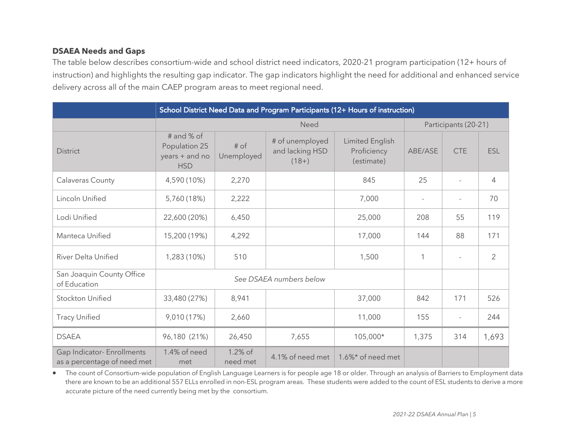### **DSAEA Needs and Gaps**

The table below describes consortium-wide and school district need indicators, 2020-21 program participation (12+ hours of instruction) and highlights the resulting gap indicator. The gap indicators highlight the need for additional and enhanced service delivery across all of the main CAEP program areas to meet regional need.

|                                                           | School District Need Data and Program Participants (12+ Hours of instruction) |                      |                                               |                                              |                |                |                      |  |  |
|-----------------------------------------------------------|-------------------------------------------------------------------------------|----------------------|-----------------------------------------------|----------------------------------------------|----------------|----------------|----------------------|--|--|
|                                                           |                                                                               | Need                 |                                               |                                              |                |                | Participants (20-21) |  |  |
| <b>District</b>                                           | # and % of<br>Population 25<br>years + and no<br><b>HSD</b>                   | $#$ of<br>Unemployed | # of unemployed<br>and lacking HSD<br>$(18+)$ | Limited English<br>Proficiency<br>(estimate) | ABE/ASE        | <b>CTE</b>     | ESL                  |  |  |
| Calaveras County                                          | 4,590 (10%)                                                                   | 2,270                |                                               | 845                                          | 25             |                | 4                    |  |  |
| Lincoln Unified                                           | 5,760 (18%)                                                                   | 2,222                |                                               | 7,000                                        | $\overline{a}$ |                | 70                   |  |  |
| Lodi Unified                                              | 22,600 (20%)                                                                  | 6,450                |                                               | 25,000                                       | 208            | 55             | 119                  |  |  |
| Manteca Unified                                           | 15,200 (19%)                                                                  | 4,292                |                                               | 17,000                                       | 144            | 88             | 171                  |  |  |
| River Delta Unified                                       | 1,283 (10%)                                                                   | 510                  |                                               | 1,500                                        | 1              | $\overline{a}$ | 2                    |  |  |
| San Joaquin County Office<br>of Education                 | See DSAEA numbers below                                                       |                      |                                               |                                              |                |                |                      |  |  |
| <b>Stockton Unified</b>                                   | 33,480 (27%)                                                                  | 8,941                |                                               | 37,000                                       | 842            | 171            | 526                  |  |  |
| <b>Tracy Unified</b>                                      | 9,010 (17%)                                                                   | 2,660                |                                               | 11,000                                       | 155            | $\overline{a}$ | 244                  |  |  |
| <b>DSAEA</b>                                              | 96,180 (21%)                                                                  | 26,450               | 7,655                                         | 105,000*                                     | 1,375          | 314            | 1,693                |  |  |
| Gap Indicator- Enrollments<br>as a percentage of need met | 1.4% of need<br>met                                                           | 1.2% of<br>need met  | 4.1% of need met                              | 1.6%* of need met                            |                |                |                      |  |  |

• The count of Consortium-wide population of English Language Learners is for people age 18 or older. Through an analysis of Barriers to Employment data there are known to be an additional 557 ELLs enrolled in non-ESL program areas. These students were added to the count of ESL students to derive a more accurate picture of the need currently being met by the consortium.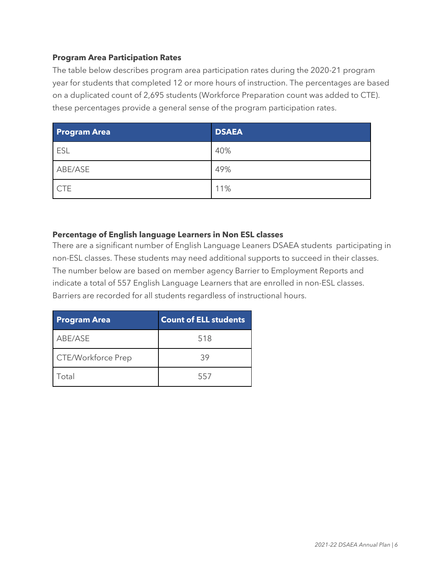### **Program Area Participation Rates**

The table below describes program area participation rates during the 2020-21 program year for students that completed 12 or more hours of instruction. The percentages are based on a duplicated count of 2,695 students (Workforce Preparation count was added to CTE). these percentages provide a general sense of the program participation rates.

| <b>Program Area</b> | <b>DSAEA</b> |
|---------------------|--------------|
| ESL                 | 40%          |
| ABE/ASE             | 49%          |
| <b>CTE</b>          | 11%          |

#### **Percentage of English language Learners in Non ESL classes**

There are a significant number of English Language Leaners DSAEA students participating in non-ESL classes. These students may need additional supports to succeed in their classes. The number below are based on member agency Barrier to Employment Reports and indicate a total of 557 English Language Learners that are enrolled in non-ESL classes. Barriers are recorded for all students regardless of instructional hours.

| <b>Program Area</b> | <b>Count of ELL students</b> |
|---------------------|------------------------------|
| ABE/ASE             | 518                          |
| CTE/Workforce Prep  | 39                           |
| Total               | 557                          |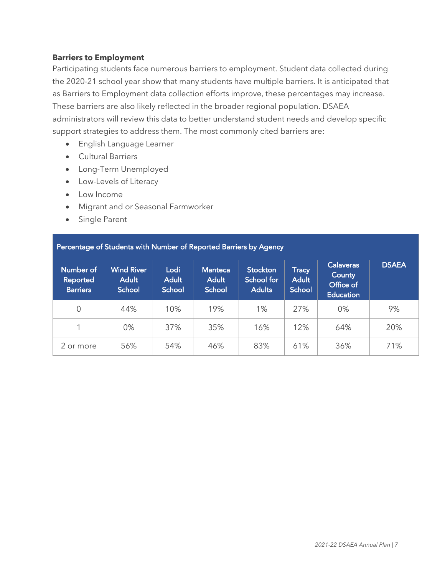#### **Barriers to Employment**

Participating students face numerous barriers to employment. Student data collected during the 2020-21 school year show that many students have multiple barriers. It is anticipated that as Barriers to Employment data collection efforts improve, these percentages may increase. These barriers are also likely reflected in the broader regional population. DSAEA administrators will review this data to better understand student needs and develop specific support strategies to address them. The most commonly cited barriers are:

- English Language Learner
- Cultural Barriers
- Long-Term Unemployed
- Low-Levels of Literacy
- Low Income
- Migrant and or Seasonal Farmworker
- Single Parent

| Percentage of Students with Number of Reported Barriers by Agency |                                             |                                |                                                 |                                                |                                        |                                                             |              |  |
|-------------------------------------------------------------------|---------------------------------------------|--------------------------------|-------------------------------------------------|------------------------------------------------|----------------------------------------|-------------------------------------------------------------|--------------|--|
| Number of<br><b>Reported</b><br><b>Barriers</b>                   | <b>Wind River</b><br><b>Adult</b><br>School | Lodi<br><b>Adult</b><br>School | <b>Manteca</b><br><b>Adult</b><br><b>School</b> | <b>Stockton</b><br>School for<br><b>Adults</b> | Tracy<br><b>Adult</b><br><b>School</b> | <b>Calaveras</b><br>County<br>Office of<br><b>Education</b> | <b>DSAEA</b> |  |
| 0                                                                 | 44%                                         | 10%                            | 19%                                             | 1%                                             | 27%                                    | 0%                                                          | 9%           |  |
|                                                                   | $0\%$                                       | 37%                            | 35%                                             | 16%                                            | 12%                                    | 64%                                                         | 20%          |  |
| 2 or more                                                         | 56%                                         | 54%                            | 46%                                             | 83%                                            | 61%                                    | 36%                                                         | 71%          |  |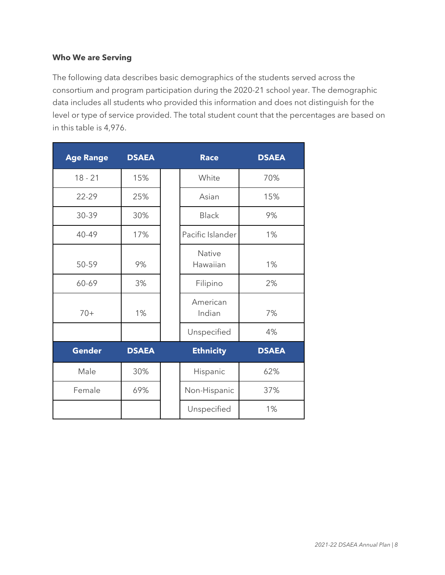#### **Who We are Serving**

The following data describes basic demographics of the students served across the consortium and program participation during the 2020-21 school year. The demographic data includes all students who provided this information and does not distinguish for the level or type of service provided. The total student count that the percentages are based on in this table is 4,976.

| <b>Age Range</b> | <b>DSAEA</b> | <b>Race</b>               | <b>DSAEA</b> |
|------------------|--------------|---------------------------|--------------|
| $18 - 21$        | 15%          | White                     | 70%          |
| 22-29            | 25%          | Asian                     | 15%          |
| 30-39            | 30%          | <b>Black</b>              | 9%           |
| 40-49            | 17%          | Pacific Islander          | 1%           |
| 50-59            | 9%           | <b>Native</b><br>Hawaiian | 1%           |
| 60-69            | 3%           | Filipino                  | 2%           |
| $70+$            | 1%           | American<br>Indian        | 7%           |
|                  |              | Unspecified               | 4%           |
| <b>Gender</b>    | <b>DSAEA</b> | <b>Ethnicity</b>          | <b>DSAEA</b> |
| Male             | 30%          | Hispanic                  | 62%          |
| Female           | 69%          | Non-Hispanic              | 37%          |
|                  |              | Unspecified               | 1%           |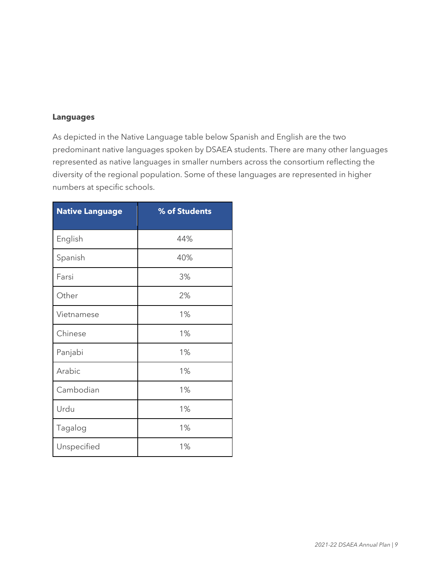### **Languages**

As depicted in the Native Language table below Spanish and English are the two predominant native languages spoken by DSAEA students. There are many other languages represented as native languages in smaller numbers across the consortium reflecting the diversity of the regional population. Some of these languages are represented in higher numbers at specific schools.

| <b>Native Language</b> | % of Students |
|------------------------|---------------|
| English                | 44%           |
| Spanish                | 40%           |
| Farsi                  | 3%            |
| Other                  | 2%            |
| Vietnamese             | 1%            |
| Chinese                | 1%            |
| Panjabi                | 1%            |
| Arabic                 | 1%            |
| Cambodian              | 1%            |
| Urdu                   | 1%            |
| Tagalog                | 1%            |
| Unspecified            | 1%            |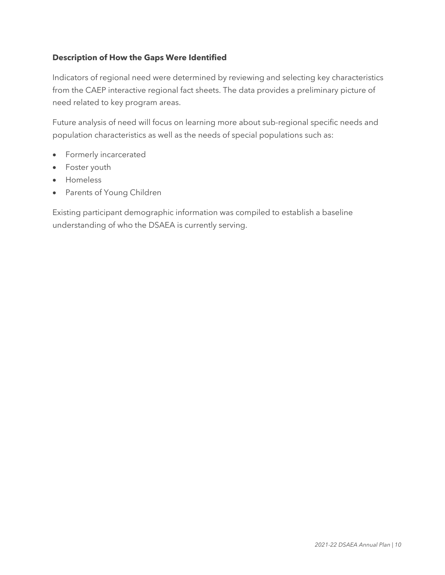### **Description of How the Gaps Were Identified**

Indicators of regional need were determined by reviewing and selecting key characteristics from the CAEP interactive regional fact sheets. The data provides a preliminary picture of need related to key program areas.

Future analysis of need will focus on learning more about sub-regional specific needs and population characteristics as well as the needs of special populations such as:

- Formerly incarcerated
- Foster youth
- Homeless
- Parents of Young Children

Existing participant demographic information was compiled to establish a baseline understanding of who the DSAEA is currently serving.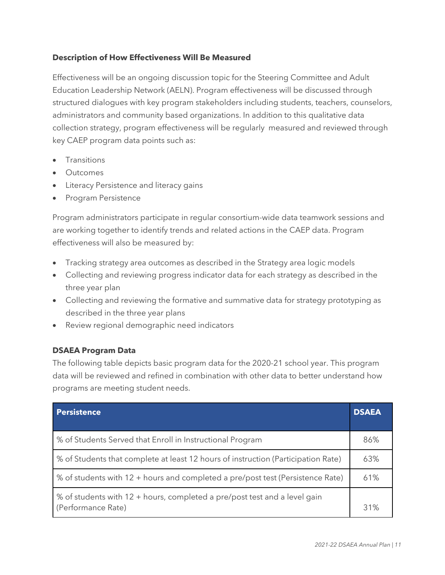#### **Description of How Effectiveness Will Be Measured**

Effectiveness will be an ongoing discussion topic for the Steering Committee and Adult Education Leadership Network (AELN). Program effectiveness will be discussed through structured dialogues with key program stakeholders including students, teachers, counselors, administrators and community based organizations. In addition to this qualitative data collection strategy, program effectiveness will be regularly measured and reviewed through key CAEP program data points such as:

- **Transitions**
- **Outcomes**
- Literacy Persistence and literacy gains
- Program Persistence

Program administrators participate in regular consortium-wide data teamwork sessions and are working together to identify trends and related actions in the CAEP data. Program effectiveness will also be measured by:

- Tracking strategy area outcomes as described in the Strategy area logic models
- Collecting and reviewing progress indicator data for each strategy as described in the three year plan
- Collecting and reviewing the formative and summative data for strategy prototyping as described in the three year plans
- Review regional demographic need indicators

#### **DSAEA Program Data**

The following table depicts basic program data for the 2020-21 school year. This program data will be reviewed and refined in combination with other data to better understand how programs are meeting student needs.

| <b>Persistence</b>                                                                              | <b>DSAEA</b> |
|-------------------------------------------------------------------------------------------------|--------------|
| % of Students Served that Enroll in Instructional Program                                       | 86%          |
| % of Students that complete at least 12 hours of instruction (Participation Rate)               | 63%          |
| % of students with 12 + hours and completed a pre/post test (Persistence Rate)                  | 61%          |
| % of students with 12 + hours, completed a pre/post test and a level gain<br>(Performance Rate) | 31%          |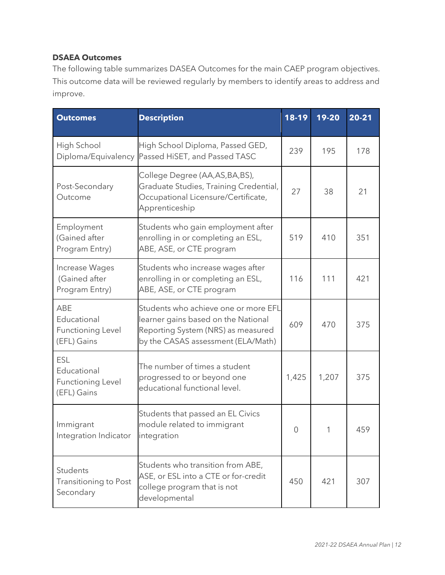### **DSAEA Outcomes**

The following table summarizes DASEA Outcomes for the main CAEP program objectives. This outcome data will be reviewed regularly by members to identify areas to address and improve.

| <b>Outcomes</b>                                                      | <b>Description</b>                                                                                                                                      | 18-19 | $19 - 20$ | 20-21 |
|----------------------------------------------------------------------|---------------------------------------------------------------------------------------------------------------------------------------------------------|-------|-----------|-------|
| High School<br>Diploma/Equivalency                                   | High School Diploma, Passed GED,<br>Passed HiSET, and Passed TASC                                                                                       | 239   | 195       | 178   |
| Post-Secondary<br>Outcome                                            | College Degree (AA,AS,BA,BS),<br>Graduate Studies, Training Credential,<br>Occupational Licensure/Certificate,<br>Apprenticeship                        | 27    | 38        | 21    |
| Employment<br>(Gained after<br>Program Entry)                        | Students who gain employment after<br>enrolling in or completing an ESL,<br>ABE, ASE, or CTE program                                                    | 519   | 410       | 351   |
| Increase Wages<br>(Gained after<br>Program Entry)                    | Students who increase wages after<br>enrolling in or completing an ESL,<br>ABE, ASE, or CTE program                                                     | 116   | 111       | 421   |
| ABE<br>Educational<br><b>Functioning Level</b><br>(EFL) Gains        | Students who achieve one or more EFL<br>learner gains based on the National<br>Reporting System (NRS) as measured<br>by the CASAS assessment (ELA/Math) | 609   | 470       | 375   |
| <b>ESL</b><br>Educational<br><b>Functioning Level</b><br>(EFL) Gains | The number of times a student<br>progressed to or beyond one<br>educational functional level.                                                           | 1,425 | 1,207     | 375   |
| Immigrant<br>Integration Indicator                                   | Students that passed an EL Civics<br>module related to immigrant<br>integration                                                                         | 0     | 1         | 459   |
| Students<br>Transitioning to Post<br>Secondary                       | Students who transition from ABE,<br>ASE, or ESL into a CTE or for-credit<br>college program that is not<br>developmental                               |       | 421       | 307   |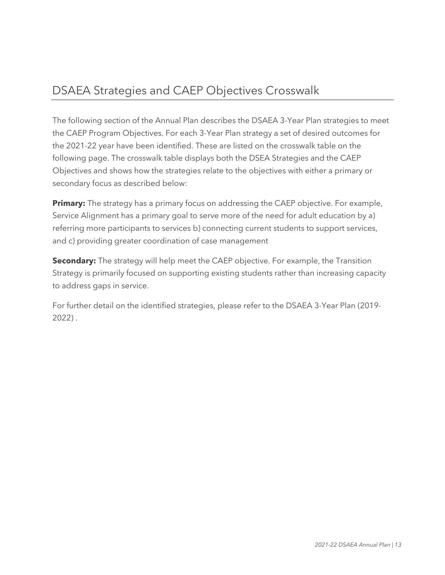### DSAEA Strategies and CAEP Objectives Crosswalk

The following section of the Annual Plan describes the DSAEA 3-Year Plan strategies to meet the CAEP Program Objectives. For each 3-Year Plan strategy a set of desired outcomes for the 2021-22 year have been identified. These are listed on the crosswalk table on the following page. The crosswalk table displays both the DSEA Strategies and the CAEP Objectives and shows how the strategies relate to the objectives with either a primary or secondary focus as described below:

**Primary:** The strategy has a primary focus on addressing the CAEP objective. For example, Service Alignment has a primary goal to serve more of the need for adult education by a) referring more participants to services b) connecting current students to support services, and c) providing greater coordination of case management

**Secondary:** The strategy will help meet the CAEP objective. For example, the Transition Strategy is primarily focused on supporting existing students rather than increasing capacity to address gaps in service.

For further detail on the identified strategies, please refer to the DSAEA 3-Year Plan (2019- 2022) .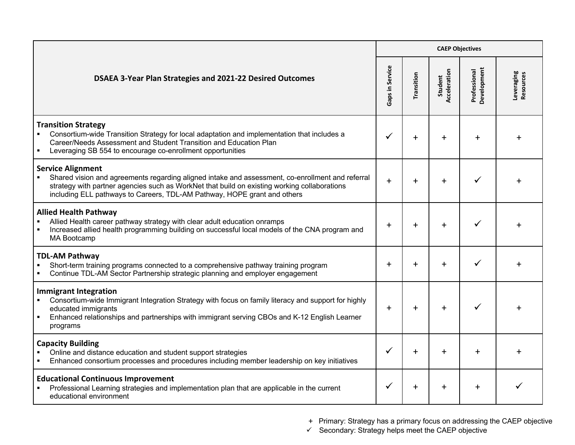|                                                                                                                                                                                                                                                                                                          |                 | <b>CAEP Objectives</b> |                         |                             |                                |  |  |
|----------------------------------------------------------------------------------------------------------------------------------------------------------------------------------------------------------------------------------------------------------------------------------------------------------|-----------------|------------------------|-------------------------|-----------------------------|--------------------------------|--|--|
| <b>DSAEA 3-Year Plan Strategies and 2021-22 Desired Outcomes</b>                                                                                                                                                                                                                                         | Gaps in Service | Transition             | Acceleration<br>Student | Development<br>Professional | Leveraging<br><b>Resources</b> |  |  |
| <b>Transition Strategy</b><br>Consortium-wide Transition Strategy for local adaptation and implementation that includes a<br>Career/Needs Assessment and Student Transition and Education Plan<br>Leveraging SB 554 to encourage co-enrollment opportunities<br>$\blacksquare$                           |                 | $\ddot{}$              | $\ddot{}$               | $\ddot{}$                   |                                |  |  |
| <b>Service Alignment</b><br>Shared vision and agreements regarding aligned intake and assessment, co-enrollment and referral<br>strategy with partner agencies such as WorkNet that build on existing working collaborations<br>including ELL pathways to Careers, TDL-AM Pathway, HOPE grant and others | $+$             | $\ddot{}$              | $\ddot{}$               |                             |                                |  |  |
| <b>Allied Health Pathway</b><br>Allied Health career pathway strategy with clear adult education onramps<br>Increased allied health programming building on successful local models of the CNA program and<br><b>MA Bootcamp</b>                                                                         |                 |                        | $\ddot{}$               |                             |                                |  |  |
| <b>TDL-AM Pathway</b><br>Short-term training programs connected to a comprehensive pathway training program<br>Continue TDL-AM Sector Partnership strategic planning and employer engagement                                                                                                             |                 |                        | $\ddot{}$               |                             |                                |  |  |
| <b>Immigrant Integration</b><br>Consortium-wide Immigrant Integration Strategy with focus on family literacy and support for highly<br>educated immigrants<br>Enhanced relationships and partnerships with immigrant serving CBOs and K-12 English Learner<br>$\blacksquare$<br>programs                 |                 | $\ddot{}$              | $\ddot{}$               | ✓                           |                                |  |  |
| <b>Capacity Building</b><br>Online and distance education and student support strategies<br>Enhanced consortium processes and procedures including member leadership on key initiatives                                                                                                                  | $\checkmark$    | $\ddot{}$              | $\ddot{}$               | $\ddot{}$                   |                                |  |  |
| <b>Educational Continuous Improvement</b><br>Professional Learning strategies and implementation plan that are applicable in the current<br>educational environment                                                                                                                                      | ✓               | $\div$                 | $\ddot{}$               | $\ddot{}$                   |                                |  |  |

+ Primary: Strategy has a primary focus on addressing the CAEP objective

 $\checkmark$  Secondary: Strategy helps meet the CAEP objective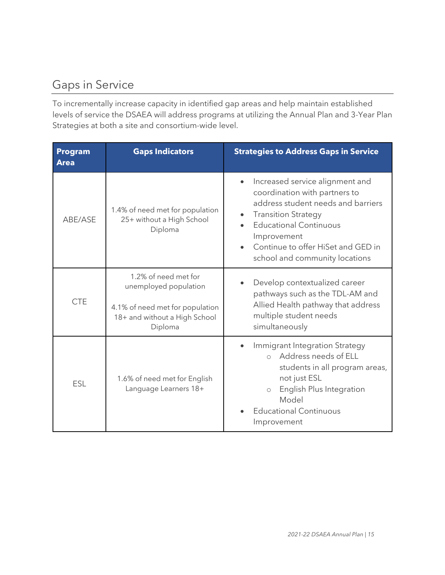# Gaps in Service

To incrementally increase capacity in identified gap areas and help maintain established levels of service the DSAEA will address programs at utilizing the Annual Plan and 3-Year Plan Strategies at both a site and consortium-wide level.

| <b>Program</b><br><b>Area</b> | <b>Gaps Indicators</b>                                                                                                       | <b>Strategies to Address Gaps in Service</b>                                                                                                                                                                                                                 |
|-------------------------------|------------------------------------------------------------------------------------------------------------------------------|--------------------------------------------------------------------------------------------------------------------------------------------------------------------------------------------------------------------------------------------------------------|
| ABE/ASE                       | 1.4% of need met for population<br>25+ without a High School<br>Diploma                                                      | Increased service alignment and<br>coordination with partners to<br>address student needs and barriers<br><b>Transition Strategy</b><br><b>Educational Continuous</b><br>Improvement<br>Continue to offer HiSet and GED in<br>school and community locations |
| <b>CTE</b>                    | 1.2% of need met for<br>unemployed population<br>4.1% of need met for population<br>18+ and without a High School<br>Diploma | Develop contextualized career<br>pathways such as the TDL-AM and<br>Allied Health pathway that address<br>multiple student needs<br>simultaneously                                                                                                           |
| <b>ESL</b>                    | 1.6% of need met for English<br>Language Learners 18+                                                                        | Immigrant Integration Strategy<br>o Address needs of ELL<br>students in all program areas,<br>not just ESL<br>English Plus Integration<br>$\circ$<br>Model<br><b>Educational Continuous</b><br>Improvement                                                   |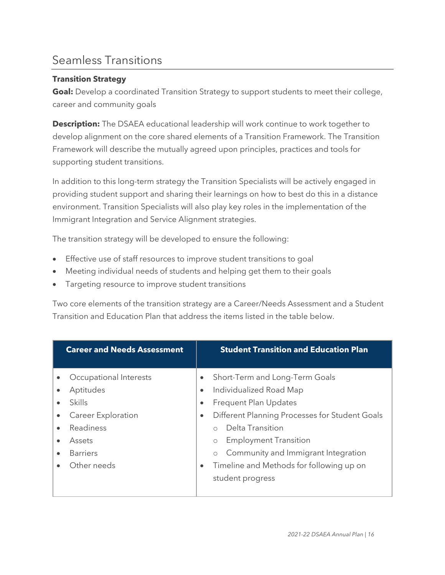### Seamless Transitions

### **Transition Strategy**

**Goal:** Develop a coordinated Transition Strategy to support students to meet their college, career and community goals

**Description:** The DSAEA educational leadership will work continue to work together to develop alignment on the core shared elements of a Transition Framework. The Transition Framework will describe the mutually agreed upon principles, practices and tools for supporting student transitions.

In addition to this long-term strategy the Transition Specialists will be actively engaged in providing student support and sharing their learnings on how to best do this in a distance environment. Transition Specialists will also play key roles in the implementation of the Immigrant Integration and Service Alignment strategies.

The transition strategy will be developed to ensure the following:

- Effective use of staff resources to improve student transitions to goal
- Meeting individual needs of students and helping get them to their goals
- Targeting resource to improve student transitions

Two core elements of the transition strategy are a Career/Needs Assessment and a Student Transition and Education Plan that address the items listed in the table below.

|                                     | <b>Career and Needs Assessment</b>                                                                                           |                                     | <b>Student Transition and Education Plan</b>                                                                                                                                                                                                                                                                          |
|-------------------------------------|------------------------------------------------------------------------------------------------------------------------------|-------------------------------------|-----------------------------------------------------------------------------------------------------------------------------------------------------------------------------------------------------------------------------------------------------------------------------------------------------------------------|
| $\bullet$<br>$\bullet$<br>$\bullet$ | Occupational Interests<br>Aptitudes<br>Skills<br>Career Exploration<br>Readiness<br>Assets<br><b>Barriers</b><br>Other needs | $\bullet$<br>$\bullet$<br>$\bullet$ | Short-Term and Long-Term Goals<br>Individualized Road Map<br>Frequent Plan Updates<br>Different Planning Processes for Student Goals<br>Delta Transition<br><b>Employment Transition</b><br>$\circ$<br>Community and Immigrant Integration<br>$\circ$<br>Timeline and Methods for following up on<br>student progress |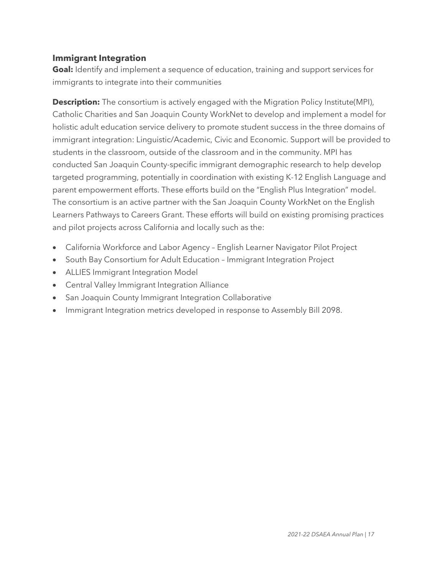### **Immigrant Integration**

**Goal:** Identify and implement a sequence of education, training and support services for immigrants to integrate into their communities

**Description:** The consortium is actively engaged with the Migration Policy Institute(MPI), Catholic Charities and San Joaquin County WorkNet to develop and implement a model for holistic adult education service delivery to promote student success in the three domains of immigrant integration: Linguistic/Academic, Civic and Economic. Support will be provided to students in the classroom, outside of the classroom and in the community. MPI has conducted San Joaquin County-specific immigrant demographic research to help develop targeted programming, potentially in coordination with existing K-12 English Language and parent empowerment efforts. These efforts build on the "English Plus Integration" model. The consortium is an active partner with the San Joaquin County WorkNet on the English Learners Pathways to Careers Grant. These efforts will build on existing promising practices and pilot projects across California and locally such as the:

- California Workforce and Labor Agency English Learner Navigator Pilot Project
- South Bay Consortium for Adult Education Immigrant Integration Project
- ALLIES Immigrant Integration Model
- Central Valley Immigrant Integration Alliance
- San Joaquin County Immigrant Integration Collaborative
- Immigrant Integration metrics developed in response to Assembly Bill 2098.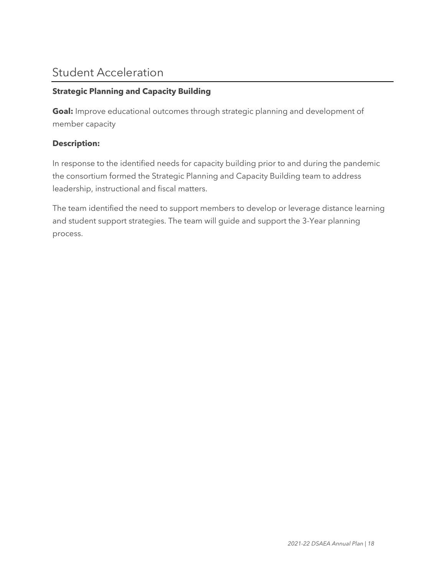### Student Acceleration

### **Strategic Planning and Capacity Building**

**Goal:** Improve educational outcomes through strategic planning and development of member capacity

### **Description:**

In response to the identified needs for capacity building prior to and during the pandemic the consortium formed the Strategic Planning and Capacity Building team to address leadership, instructional and fiscal matters.

The team identified the need to support members to develop or leverage distance learning and student support strategies. The team will guide and support the 3-Year planning process.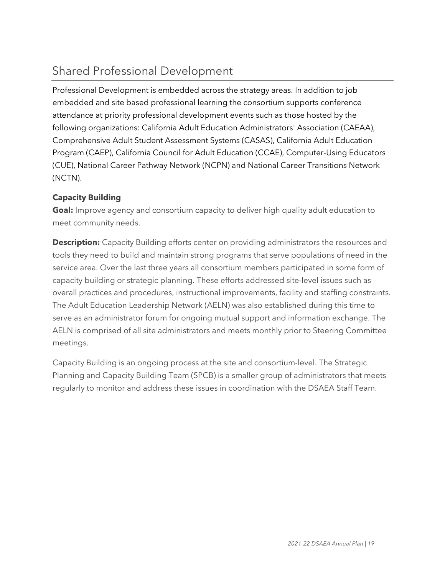# Shared Professional Development

Professional Development is embedded across the strategy areas. In addition to job embedded and site based professional learning the consortium supports conference attendance at priority professional development events such as those hosted by the following organizations: California Adult Education Administrators' Association (CAEAA), Comprehensive Adult Student Assessment Systems (CASAS), California Adult Education Program (CAEP), California Council for Adult Education (CCAE), Computer-Using Educators (CUE), National Career Pathway Network (NCPN) and National Career Transitions Network (NCTN).

### **Capacity Building**

**Goal:** Improve agency and consortium capacity to deliver high quality adult education to meet community needs.

**Description:** Capacity Building efforts center on providing administrators the resources and tools they need to build and maintain strong programs that serve populations of need in the service area. Over the last three years all consortium members participated in some form of capacity building or strategic planning. These efforts addressed site-level issues such as overall practices and procedures, instructional improvements, facility and staffing constraints. The Adult Education Leadership Network (AELN) was also established during this time to serve as an administrator forum for ongoing mutual support and information exchange. The AELN is comprised of all site administrators and meets monthly prior to Steering Committee meetings.

Capacity Building is an ongoing process at the site and consortium-level. The Strategic Planning and Capacity Building Team (SPCB) is a smaller group of administrators that meets regularly to monitor and address these issues in coordination with the DSAEA Staff Team.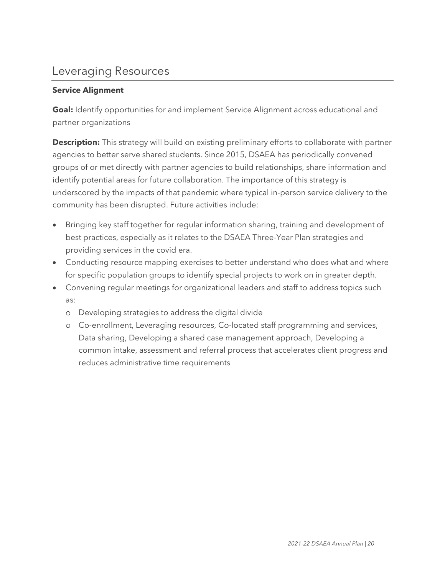### Leveraging Resources

### **Service Alignment**

**Goal:** Identify opportunities for and implement Service Alignment across educational and partner organizations

**Description:** This strategy will build on existing preliminary efforts to collaborate with partner agencies to better serve shared students. Since 2015, DSAEA has periodically convened groups of or met directly with partner agencies to build relationships, share information and identify potential areas for future collaboration. The importance of this strategy is underscored by the impacts of that pandemic where typical in-person service delivery to the community has been disrupted. Future activities include:

- Bringing key staff together for regular information sharing, training and development of best practices, especially as it relates to the DSAEA Three-Year Plan strategies and providing services in the covid era.
- Conducting resource mapping exercises to better understand who does what and where for specific population groups to identify special projects to work on in greater depth.
- Convening regular meetings for organizational leaders and staff to address topics such as:
	- o Developing strategies to address the digital divide
	- o Co-enrollment, Leveraging resources, Co-located staff programming and services, Data sharing, Developing a shared case management approach, Developing a common intake, assessment and referral process that accelerates client progress and reduces administrative time requirements